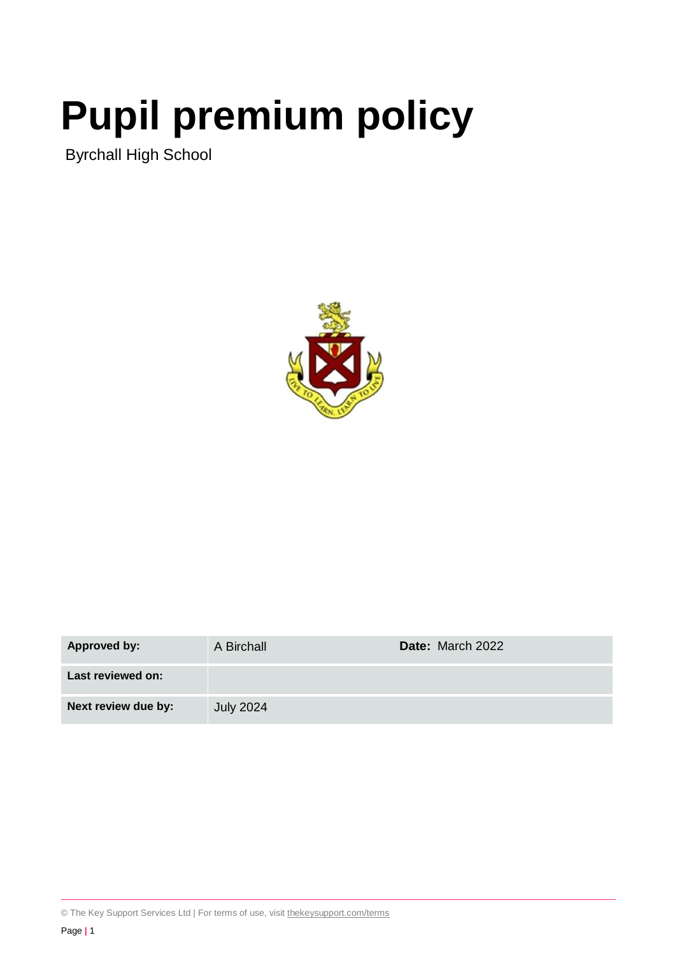# **Pupil premium policy**

Byrchall High School



| Approved by:        | A Birchall       | Date: March 2022 |
|---------------------|------------------|------------------|
| Last reviewed on:   |                  |                  |
| Next review due by: | <b>July 2024</b> |                  |

© The Key Support Services Ltd | For terms of use, visit [thekeysupport.com/terms](https://thekeysupport.com/terms-of-use)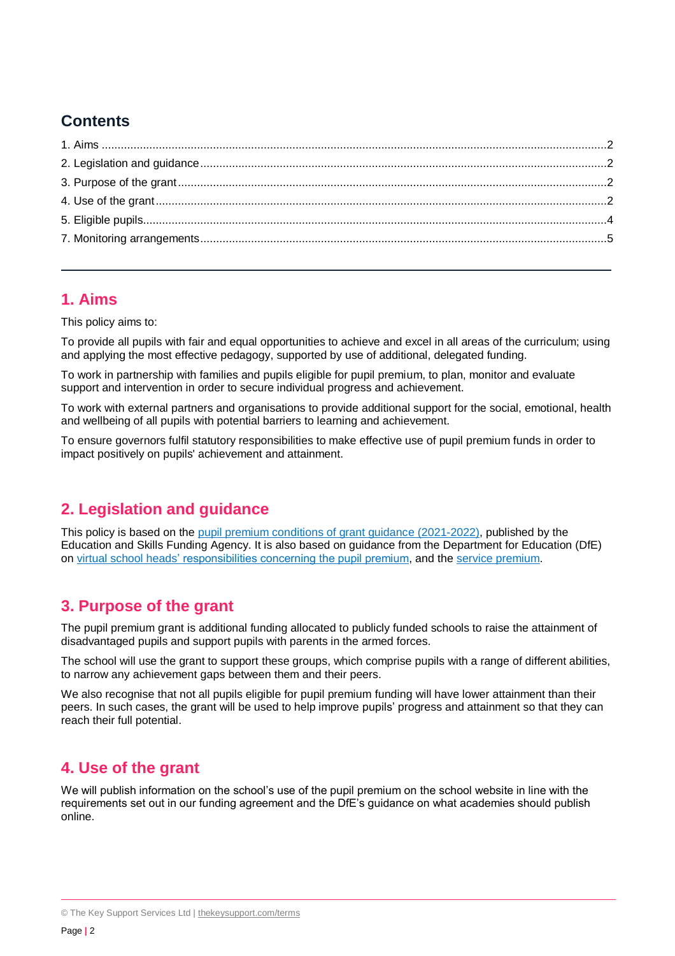## **Contents**

## <span id="page-1-0"></span>**1. Aims**

This policy aims to:

To provide all pupils with fair and equal opportunities to achieve and excel in all areas of the curriculum; using and applying the most effective pedagogy, supported by use of additional, delegated funding.

To work in partnership with families and pupils eligible for pupil premium, to plan, monitor and evaluate support and intervention in order to secure individual progress and achievement.

To work with external partners and organisations to provide additional support for the social, emotional, health and wellbeing of all pupils with potential barriers to learning and achievement.

To ensure governors fulfil statutory responsibilities to make effective use of pupil premium funds in order to impact positively on pupils' achievement and attainment.

## <span id="page-1-1"></span>**2. Legislation and guidance**

This policy is based on the [pupil premium conditions of grant guidance \(2021-2022\),](https://www.gov.uk/government/publications/pupil-premium-allocations-and-conditions-of-grant-2021-to-2022/pupil-premium-conditions-of-grant-2021-to-2022-for-local-authorities) published by the Education and Skills Funding Agency. It is also based on guidance from the Department for Education (DfE) on [virtual school heads' responsibilities concerning the pupil premium,](https://www.gov.uk/guidance/pupil-premium-virtual-school-heads-responsibilities) and the [service premium.](https://www.gov.uk/guidance/service-premium-information-for-schools)

## <span id="page-1-2"></span>**3. Purpose of the grant**

The pupil premium grant is additional funding allocated to publicly funded schools to raise the attainment of disadvantaged pupils and support pupils with parents in the armed forces.

The school will use the grant to support these groups, which comprise pupils with a range of different abilities, to narrow any achievement gaps between them and their peers.

We also recognise that not all pupils eligible for pupil premium funding will have lower attainment than their peers. In such cases, the grant will be used to help improve pupils' progress and attainment so that they can reach their full potential.

## <span id="page-1-3"></span>**4. Use of the grant**

We will publish information on the school's use of the pupil premium on the school website in line with the requirements set out in our funding agreement and the DfE's guidance on what academies should publish online.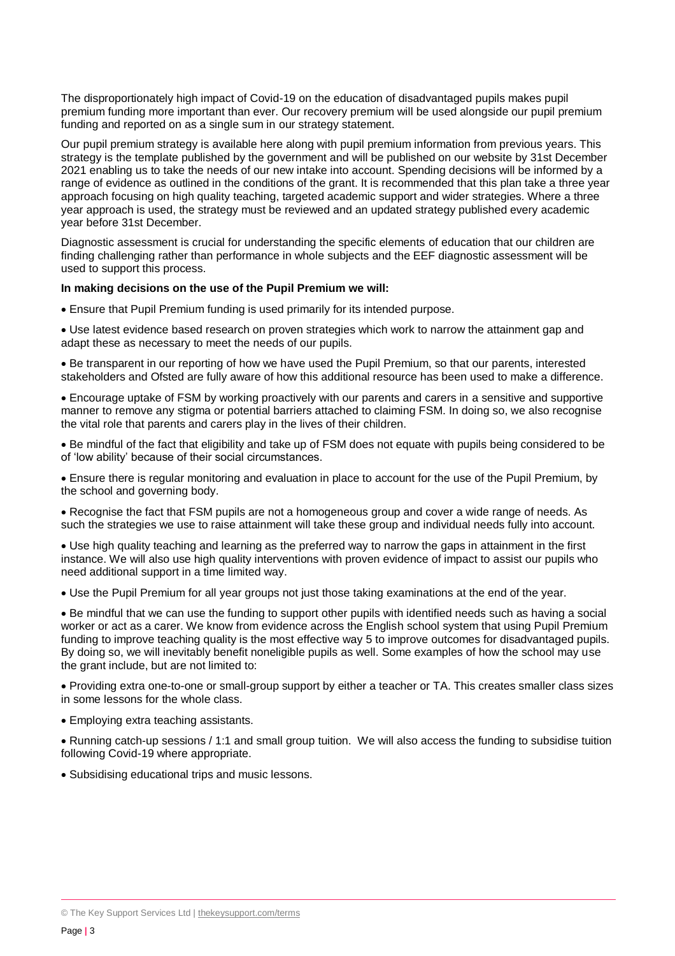The disproportionately high impact of Covid-19 on the education of disadvantaged pupils makes pupil premium funding more important than ever. Our recovery premium will be used alongside our pupil premium funding and reported on as a single sum in our strategy statement.

Our pupil premium strategy is available here along with pupil premium information from previous years. This strategy is the template published by the government and will be published on our website by 31st December 2021 enabling us to take the needs of our new intake into account. Spending decisions will be informed by a range of evidence as outlined in the conditions of the grant. It is recommended that this plan take a three year approach focusing on high quality teaching, targeted academic support and wider strategies. Where a three year approach is used, the strategy must be reviewed and an updated strategy published every academic year before 31st December.

Diagnostic assessment is crucial for understanding the specific elements of education that our children are finding challenging rather than performance in whole subjects and the EEF diagnostic assessment will be used to support this process.

#### **In making decisions on the use of the Pupil Premium we will:**

Ensure that Pupil Premium funding is used primarily for its intended purpose.

 Use latest evidence based research on proven strategies which work to narrow the attainment gap and adapt these as necessary to meet the needs of our pupils.

 Be transparent in our reporting of how we have used the Pupil Premium, so that our parents, interested stakeholders and Ofsted are fully aware of how this additional resource has been used to make a difference.

 Encourage uptake of FSM by working proactively with our parents and carers in a sensitive and supportive manner to remove any stigma or potential barriers attached to claiming FSM. In doing so, we also recognise the vital role that parents and carers play in the lives of their children.

 Be mindful of the fact that eligibility and take up of FSM does not equate with pupils being considered to be of 'low ability' because of their social circumstances.

 Ensure there is regular monitoring and evaluation in place to account for the use of the Pupil Premium, by the school and governing body.

 Recognise the fact that FSM pupils are not a homogeneous group and cover a wide range of needs. As such the strategies we use to raise attainment will take these group and individual needs fully into account.

 Use high quality teaching and learning as the preferred way to narrow the gaps in attainment in the first instance. We will also use high quality interventions with proven evidence of impact to assist our pupils who need additional support in a time limited way.

Use the Pupil Premium for all year groups not just those taking examinations at the end of the year.

 Be mindful that we can use the funding to support other pupils with identified needs such as having a social worker or act as a carer. We know from evidence across the English school system that using Pupil Premium funding to improve teaching quality is the most effective way 5 to improve outcomes for disadvantaged pupils. By doing so, we will inevitably benefit noneligible pupils as well. Some examples of how the school may use the grant include, but are not limited to:

 Providing extra one-to-one or small-group support by either a teacher or TA. This creates smaller class sizes in some lessons for the whole class.

Employing extra teaching assistants.

 Running catch-up sessions / 1:1 and small group tuition. We will also access the funding to subsidise tuition following Covid-19 where appropriate.

<span id="page-2-0"></span>Subsidising educational trips and music lessons.

<sup>©</sup> The Key Support Services Ltd | [thekeysupport.com/terms](https://thekeysupport.com/terms-of-use)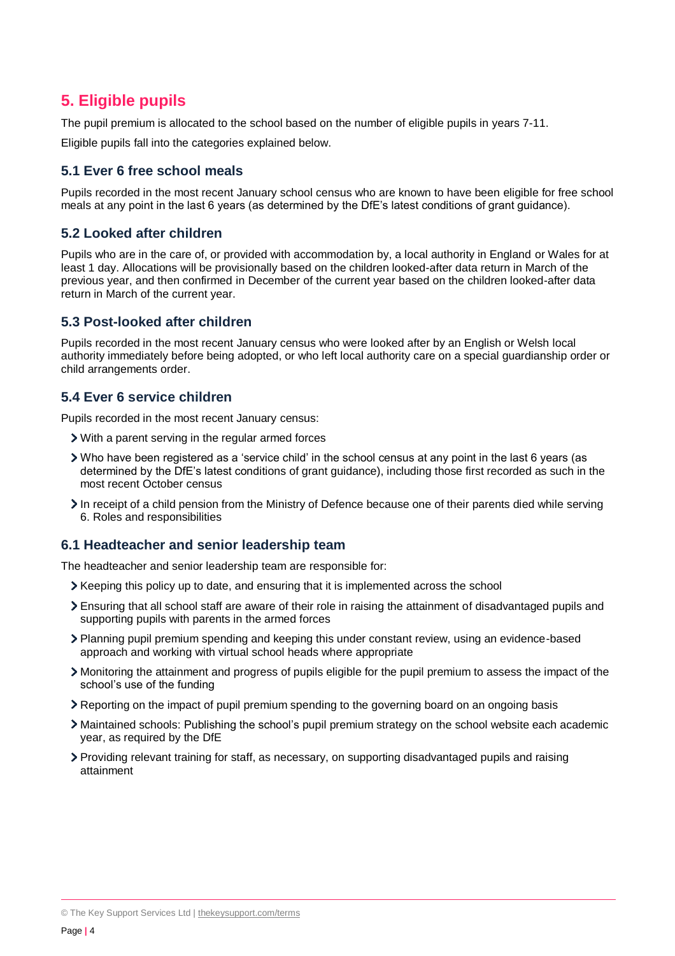## **5. Eligible pupils**

The pupil premium is allocated to the school based on the number of eligible pupils in years 7-11.

Eligible pupils fall into the categories explained below.

### **5.1 Ever 6 free school meals**

Pupils recorded in the most recent January school census who are known to have been eligible for free school meals at any point in the last 6 years (as determined by the DfE's latest conditions of grant guidance).

#### **5.2 Looked after children**

Pupils who are in the care of, or provided with accommodation by, a local authority in England or Wales for at least 1 day. Allocations will be provisionally based on the children looked-after data return in March of the previous year, and then confirmed in December of the current year based on the children looked-after data return in March of the current year.

#### **5.3 Post-looked after children**

Pupils recorded in the most recent January census who were looked after by an English or Welsh local authority immediately before being adopted, or who left local authority care on a special guardianship order or child arrangements order.

#### **5.4 Ever 6 service children**

Pupils recorded in the most recent January census:

- With a parent serving in the regular armed forces
- Who have been registered as a 'service child' in the school census at any point in the last 6 years (as determined by the DfE's latest conditions of grant guidance), including those first recorded as such in the most recent October census
- In receipt of a child pension from the Ministry of Defence because one of their parents died while serving 6. Roles and responsibilities

#### **6.1 Headteacher and senior leadership team**

The headteacher and senior leadership team are responsible for:

- $\geq$  Keeping this policy up to date, and ensuring that it is implemented across the school
- Ensuring that all school staff are aware of their role in raising the attainment of disadvantaged pupils and supporting pupils with parents in the armed forces
- Planning pupil premium spending and keeping this under constant review, using an evidence-based approach and working with virtual school heads where appropriate
- Monitoring the attainment and progress of pupils eligible for the pupil premium to assess the impact of the school's use of the funding
- Reporting on the impact of pupil premium spending to the governing board on an ongoing basis
- Maintained schools: Publishing the school's pupil premium strategy on the school website each academic year, as required by the DfE
- Providing relevant training for staff, as necessary, on supporting disadvantaged pupils and raising attainment

<sup>©</sup> The Key Support Services Ltd | [thekeysupport.com/terms](https://thekeysupport.com/terms-of-use)